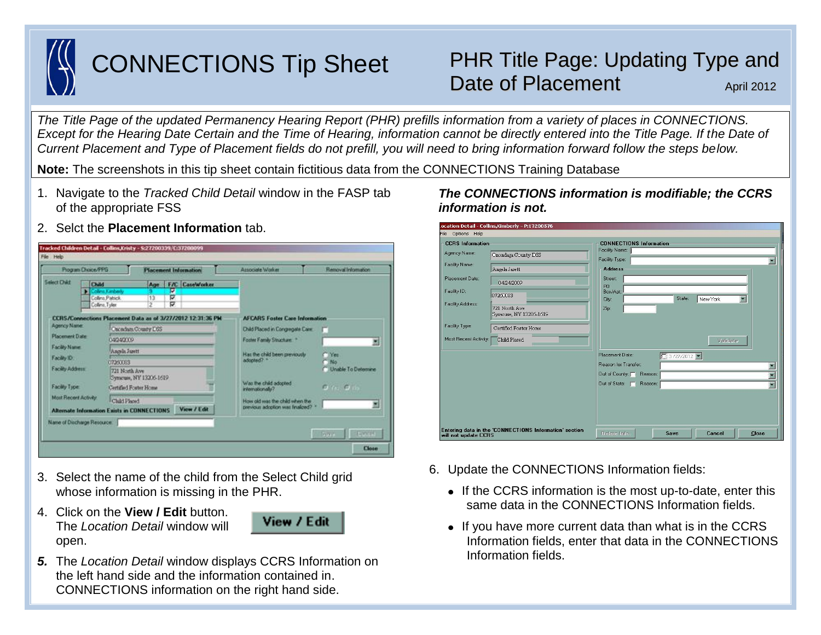

# CONNECTIONS Tip Sheet

## PHR Title Page: Updating Type and Date of Placement April 2012

*The Title Page of the updated Permanency Hearing Report (PHR) prefills information from a variety of places in CONNECTIONS. Except for the Hearing Date Certain and the Time of Hearing, information cannot be directly entered into the Title Page. If the Date of Current Placement and Type of Placement fields do not prefill, you will need to bring information forward follow the steps below.*  rev June 2011

**Note:** The screenshots in this tip sheet contain fictitious data from the CONNECTIONS Training Database

- 1. Navigate to the *Tracked Child Detail* window in the FASP tab of the appropriate FSS
- 2. Selct the **Placement Information** tab.



- 3. Select the name of the child from the Select Child grid whose information is missing in the PHR.
- 4. Click on the **View / Edit** button. The *Location Detail* window will open.



*5.* The *Location Detail* window displays CCRS Information on the left hand side and the information contained in. CONNECTIONS information on the right hand side.

#### ocation Detail - Collins,Kimberly - P:17200576 File Options Help **CCRS** Informatio **CONNECTIONS Inform-**Facility Name Agency Name: Onondaga County DSS Facility Typ E Facility Name Angela Jarett **Addres** Placement Date: Street  $104242009$ Facility ID: Box/Ap 07260083 City: State: New York Facility Address: 721 North Ave Zip: Syracuse, NY 13206-1619 Facility Type Certified Foster Home Most Recent Activity: Child Placed Validate Placement Date:  $\Box$  3/27/2012 Reason for Transfer. 圖 Out of County: F Reaso  $\blacksquare$ Out of State: F Reason  $\blacksquare$ Entering data in the 'CONNECTIONS Information' section<br>will not update CCRS Cancel  $Close$

- 6. Update the CONNECTIONS Information fields:
	- If the CCRS information is the most up-to-date, enter this same data in the CONNECTIONS Information fields.
	- If you have more current data than what is in the CCRS Information fields, enter that data in the CONNECTIONS Information fields.

## *The CONNECTIONS information is modifiable; the CCRS information is not.*